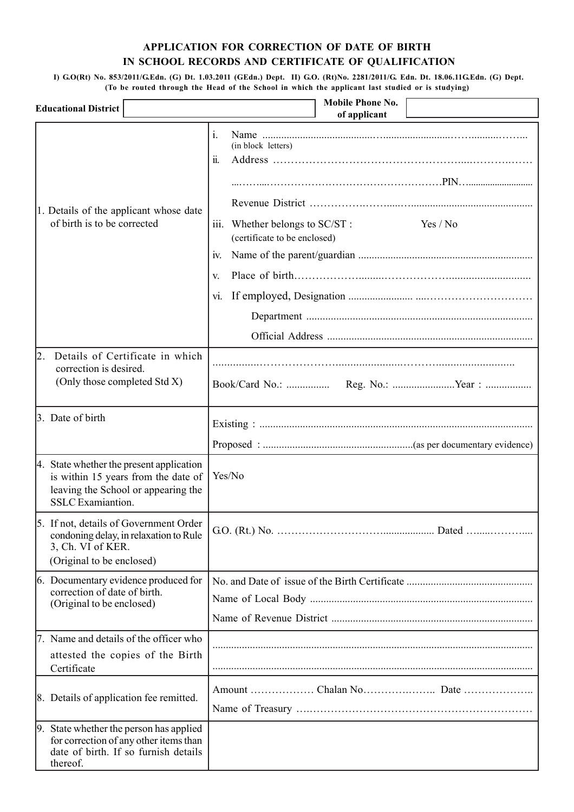### **APPLICATION FOR CORRECTION OF DATE OF BIRTH IN SCHOOL RECORDS AND CERTIFICATE OF QUALIFICATION**

 **I) G.O(Rt) No. 853/2011/G.Edn. (G) Dt. 1.03.2011 (GEdn.) Dept. II) G.O. (Rt)No. 2281/2011/G. Edn. Dt. 18.06.11G.Edn. (G) Dept. (To be routed through the Head of the School in which the applicant last studied or is studying)**

| <b>Educational District</b>                                                                                                                        | <b>Mobile Phone No.</b><br>of applicant                                                                                                               |
|----------------------------------------------------------------------------------------------------------------------------------------------------|-------------------------------------------------------------------------------------------------------------------------------------------------------|
| 1. Details of the applicant whose date<br>of birth is to be corrected                                                                              | $\mathbf{i}$ .<br>(in block letters)<br>11.<br>Yes / No<br>iii. Whether belongs to SC/ST :<br>(certificate to be enclosed)<br><b>IV.</b><br>V.<br>Vl. |
|                                                                                                                                                    |                                                                                                                                                       |
| Details of Certificate in which<br>12.<br>correction is desired.<br>(Only those completed Std X)                                                   |                                                                                                                                                       |
| 3. Date of birth                                                                                                                                   |                                                                                                                                                       |
| 4. State whether the present application<br>is within 15 years from the date of<br>leaving the School or appearing the<br><b>SSLC</b> Examiantion. | Yes/No                                                                                                                                                |
| 5. If not, details of Government Order<br>condoning delay, in relaxation to Rule<br>3, Ch. VI of KER.<br>(Original to be enclosed)                 |                                                                                                                                                       |
| 6. Documentary evidence produced for<br>correction of date of birth.<br>(Original to be enclosed)                                                  |                                                                                                                                                       |
| 7. Name and details of the officer who<br>attested the copies of the Birth<br>Certificate                                                          |                                                                                                                                                       |
| [8. Details of application fee remitted.]                                                                                                          |                                                                                                                                                       |
| 9. State whether the person has applied<br>for correction of any other items than<br>date of birth. If so furnish details<br>thereof.              |                                                                                                                                                       |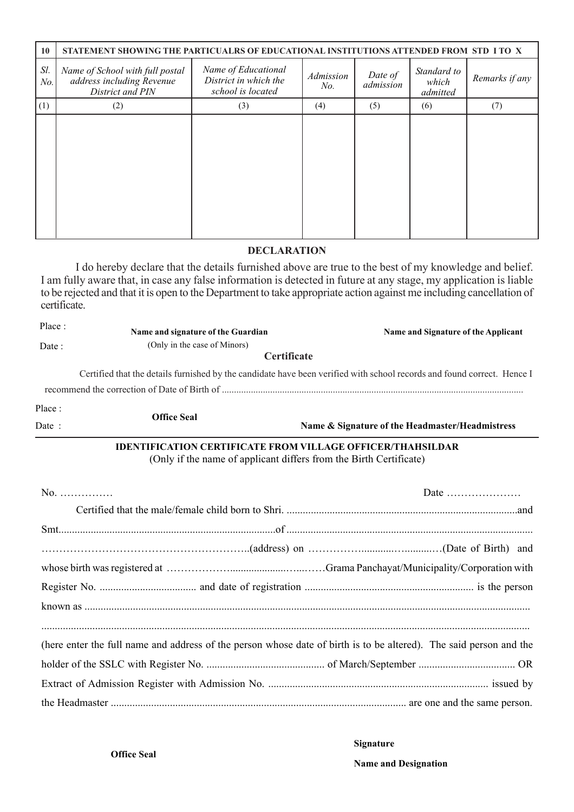| 10         | STATEMENT SHOWING THE PARTICUALRS OF EDUCATIONAL INSTITUTIONS ATTENDED FROM STD I TO X |                                                                   |                  |                      |                                  |                |  |
|------------|----------------------------------------------------------------------------------------|-------------------------------------------------------------------|------------------|----------------------|----------------------------------|----------------|--|
| Sl.<br>No. | Name of School with full postal<br>address including Revenue<br>District and PIN       | Name of Educational<br>District in which the<br>school is located | Admission<br>No. | Date of<br>admission | Standard to<br>which<br>admitted | Remarks if any |  |
| (1)        | (2)                                                                                    | (3)                                                               | (4)              | (5)                  | (6)                              | (7)            |  |
|            |                                                                                        |                                                                   |                  |                      |                                  |                |  |

#### **DECLARATION**

I do hereby declare that the details furnished above are true to the best of my knowledge and belief. I am fully aware that, in case any false information is detected in future at any stage, my application is liable to be rejected and that it is open to the Department to take appropriate action against me including cancellation of certificate.

| Place: | Name and signature of the Guardian                                                                                                      |             | Name and Signature of the Applicant                                                                                     |  |  |  |
|--------|-----------------------------------------------------------------------------------------------------------------------------------------|-------------|-------------------------------------------------------------------------------------------------------------------------|--|--|--|
| Date:  | (Only in the case of Minors)                                                                                                            |             |                                                                                                                         |  |  |  |
|        |                                                                                                                                         | Certificate |                                                                                                                         |  |  |  |
|        |                                                                                                                                         |             | Certified that the details furnished by the candidate have been verified with school records and found correct. Hence I |  |  |  |
|        |                                                                                                                                         |             |                                                                                                                         |  |  |  |
| Place: |                                                                                                                                         |             |                                                                                                                         |  |  |  |
| Date:  | <b>Office Seal</b>                                                                                                                      |             | Name & Signature of the Headmaster/Headmistress                                                                         |  |  |  |
|        | <b>IDENTIFICATION CERTIFICATE FROM VILLAGE OFFICER/THAHSILDAR</b><br>(Only if the name of applicant differs from the Birth Certificate) |             |                                                                                                                         |  |  |  |
| $No.$  |                                                                                                                                         |             | Date $\dots\dots\dots\dots\dots\dots\dots\dots$                                                                         |  |  |  |
|        |                                                                                                                                         |             |                                                                                                                         |  |  |  |
|        |                                                                                                                                         |             |                                                                                                                         |  |  |  |
|        |                                                                                                                                         |             |                                                                                                                         |  |  |  |
|        |                                                                                                                                         |             |                                                                                                                         |  |  |  |
|        |                                                                                                                                         |             |                                                                                                                         |  |  |  |
|        |                                                                                                                                         |             |                                                                                                                         |  |  |  |
|        |                                                                                                                                         |             | (here enter the full name and address of the person whose date of birth is to be altered). The said person and the      |  |  |  |
|        |                                                                                                                                         |             |                                                                                                                         |  |  |  |
|        |                                                                                                                                         |             |                                                                                                                         |  |  |  |
|        |                                                                                                                                         |             |                                                                                                                         |  |  |  |

#### **Signature**

**Name and Designation**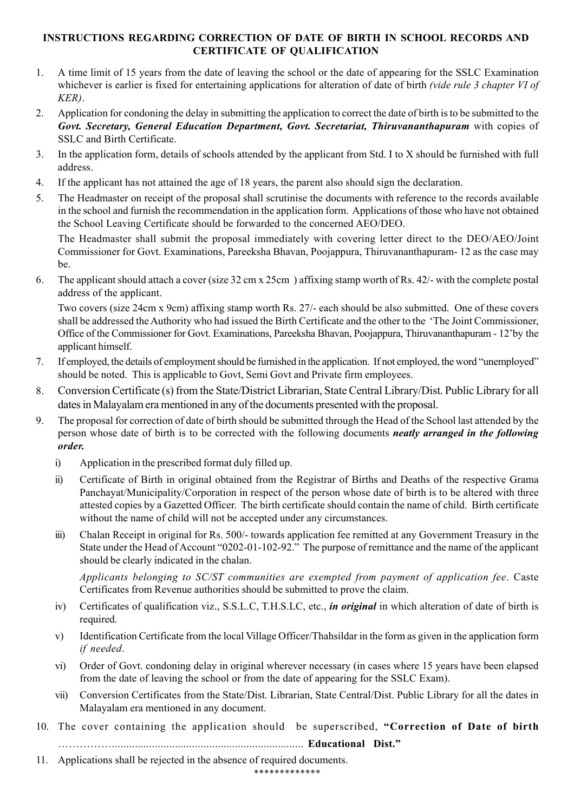## **INSTRUCTIONS REGARDING CORRECTION OF DATE OF BIRTH IN SCHOOL RECORDS AND CERTIFICATE OF QUALIFICATION**

- 1. A time limit of 15 years from the date of leaving the school or the date of appearing for the SSLC Examination whichever is earlier is fixed for entertaining applications for alteration of date of birth *(vide rule 3 chapter VI of KER)*.
- 2. Application for condoning the delay in submitting the application to correct the date of birth is to be submitted to the *Govt. Secretary, General Education Department, Govt. Secretariat, Thiruvananthapuram* with copies of SSLC and Birth Certificate.
- 3. In the application form, details of schools attended by the applicant from Std. I to X should be furnished with full address.
- 4. If the applicant has not attained the age of 18 years, the parent also should sign the declaration.
- 5. The Headmaster on receipt of the proposal shall scrutinise the documents with reference to the records available in the school and furnish the recommendation in the application form. Applications of those who have not obtained the School Leaving Certificate should be forwarded to the concerned AEO/DEO.

The Headmaster shall submit the proposal immediately with covering letter direct to the DEO/AEO/Joint Commissioner for Govt. Examinations, Pareeksha Bhavan, Poojappura, Thiruvananthapuram- 12 as the case may be.

6. The applicant should attach a cover (size 32 cm x 25cm ) affixing stamp worth of Rs. 42/- with the complete postal address of the applicant.

Two covers (size 24cm x 9cm) affixing stamp worth Rs. 27/- each should be also submitted. One of these covers shall be addressed the Authority who had issued the Birth Certificate and the other to the 'The Joint Commissioner, Office of the Commissioner for Govt. Examinations, Pareeksha Bhavan, Poojappura, Thiruvananthapuram - 12'by the applicant himself.

- 7. If employed, the details of employment should be furnished in the application. If not employed, the word "unemployed" should be noted. This is applicable to Govt, Semi Govt and Private firm employees.
- 8. Conversion Certificate (s) from the State/District Librarian, State Central Library/Dist. Public Library for all dates in Malayalam era mentioned in any of the documents presented with the proposal.
- 9. The proposal for correction of date of birth should be submitted through the Head of the School last attended by the person whose date of birth is to be corrected with the following documents *neatly arranged in the following order.*
	- i) Application in the prescribed format duly filled up.
	- ii) Certificate of Birth in original obtained from the Registrar of Births and Deaths of the respective Grama Panchayat/Municipality/Corporation in respect of the person whose date of birth is to be altered with three attested copies by a Gazetted Officer. The birth certificate should contain the name of child. Birth certificate without the name of child will not be accepted under any circumstances.
	- iii) Chalan Receipt in original for Rs. 500/- towards application fee remitted at any Government Treasury in the State under the Head of Account "0202-01-102-92." The purpose of remittance and the name of the applicant should be clearly indicated in the chalan.

*Applicants belonging to SC/ST communities are exempted from payment of application fee*. Caste Certificates from Revenue authorities should be submitted to prove the claim.

- iv) Certificates of qualification viz., S.S.L.C, T.H.S.LC, etc., *in original* in which alteration of date of birth is required.
- v) Identification Certificate from the local Village Officer/Thahsildar in the form as given in the application form *if needed*.
- vi) Order of Govt. condoning delay in original wherever necessary (in cases where 15 years have been elapsed from the date of leaving the school or from the date of appearing for the SSLC Exam).
- vii) Conversion Certificates from the State/Dist. Librarian, State Central/Dist. Public Library for all the dates in Malayalam era mentioned in any document.
- 10. The cover containing the application should be superscribed, **"Correction of Date of birth** ……………................................................................... **Educational Dist."**
- 11. Applications shall be rejected in the absence of required documents.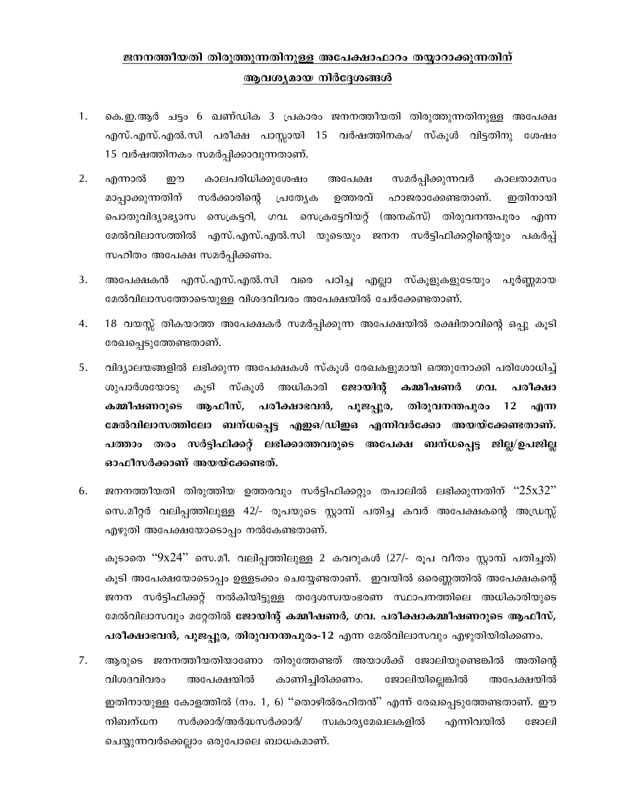# ജനനത്തീയതി തിരുത്തുന്നതിനുള്ള അപേക്ഷാഫാറം തയ്യാറാക്കുന്നതിന് ആവശ്യമായ നിർദ്ദേശങ്ങൾ

- 1. കെ.ഇ.ആർ ചട്ടം 6 ഖണ്ഡിക 3 പ്രകാരം ജനനത്തീയതി തിരുത്തുന്നതിനുള്ള അപേക്ഷ എസ്.എസ്.എൽ.സി പരീക്ഷ പാസ്സായി 15 വർഷത്തിനകം/ സ്കൂൾ വിട്ടതിനു ശേഷം 15 വർഷത്തിനകം സമർപ്പിക്കാവുന്നതാണ്.
- $2.$ എന്നാൽ ഈ കാലപരിധിക്കുശേഷം അപേക്ഷ സമർപ്പിക്കുന്നവർ കാലതാമസം മാപ്പാക്കുന്നതിന് സർക്കാരിന്റെ പ്രത്യേക ഉത്തരവ് ഹാജരാക്കേണ്ടതാണ്. ഇതിനായി പൊതുവിദ്യാഭ്യാസ സെക്രട്ടറി, ഗവ. സെക്രട്ടേറിയറ്റ് (അനക്സ്) തിരുവനന്തപുരം എന്ന മേൽവിലാസത്തിൽ എസ്.എസ്.എൽ.സി യുടെയും ജനന സർട്ടിഫിക്കറ്റിന്റെയും പകർപ്പ് സഹിതം അപേക്ഷ സമർപ്പിക്കണം.
- $3<sub>1</sub>$ അപേക്ഷകൻ എസ്.എസ്.എൽ.സി വരെ പഠിച്ച എല്ലാ സ്കൂളുകളുടേയും പൂർണ്ണമായ മേൽവിലാസത്തോടെയുള്ള വിശദവിവരം അപേക്ഷയിൽ ചേർക്കേണ്ടതാണ്.
- 4. 18 വയസ്സ് തികയാത്ത അപേക്ഷകർ സമർപ്പിക്കുന്ന അപേക്ഷയിൽ രക്ഷിതാവിന്റെ ഒപ്പു കൂടി രേഖപ്പെടുത്തേണ്ടതാണ്.
- 5. വിദ്യാലയങ്ങളിൽ ലഭിക്കുന്ന അപേക്ഷകൾ സ്കൂൾ രേഖകളുമായി ഒത്തുനോക്കി പരിശോധിച്ച് ശുപാർശയോടു കൂടി സ്കൂൾ അധികാരി ജോയിന്റ് കമ്മീഷണർ மவ. പരീക്ഷാ കമ്മീഷണറുടെ ആഫീസ്, പരീക്ഷാഭവൻ, പൂജപ്പുര, തിരുവനന്തപുരം 12 എന്ന മേൽവിലാസത്തിലോ ബന്ധപ്പെട്ട എഇഒ/ഡിഇഒ എന്നിവർക്കോ അയയ്ക്കേണ്ടതാണ്. പത്താം തരം സർട്ടിഫിക്കറ്റ് ലഭിക്കാത്തവരുടെ അപേക്ഷ ബന്ധപ്പെട്ട ജില്ല/ഉപജില്ല ഓഫീസർക്കാണ് അയയ്ക്കേണ്ടത്.
- 6. ജനനത്തീയതി തിരുത്തിയ ഉത്തരവും സർട്ടിഫിക്കറ്റും തപാലിൽ ലഭിക്കുന്നതിന് ''25x32'' സെ.മീറ്റർ വലിപ്പത്തിലുള്ള 42/- രൂപയുടെ സ്റ്റാമ്പ് പതിച്ച കവർ അപേക്ഷകന്റെ അഡ്രസ്സ് എഴുതി അപേക്ഷയോടൊപ്പം നൽകേണ്ടതാണ്.

കൂടാതെ ''9x24'' സെ.മീ. വലിപ്പത്തിലുള്ള 2 കവറുകൾ (27/- രൂപ വീതം സ്റ്റാമ്പ് പതിച്ചത്) കുടി അപേക്ഷയോടൊപ്പം ഉള്ളടക്കം ചെയ്യേണ്ടതാണ്. ഇവയിൽ ഒരെണ്ണത്തിൽ അപേക്ഷകന്റെ ജനന സർട്ടിഫിക്കറ്റ് നൽകിയിട്ടുള്ള തദ്ദേശസ്വയംഭരണ സ്ഥാപനത്തിലെ അധികാരിയുടെ മേൽവിലാസവും മറ്റേതിൽ ജോയിന്റ് കമ്മീഷണർ, ഗവ. പരീക്ഷാകമ്മീഷണറുടെ ആഫീസ്, പരീക്ഷാഭവൻ, പൂജപ്പുര, തിരുവനന്തപുരം-12 എന്ന മേൽവിലാസവും എഴുതിയിരിക്കണം.

7. ആരുടെ ജനനത്തീയതിയാണോ തിരുത്തേണ്ടത് അയാൾക്ക് ജോലിയുണ്ടെങ്കിൽ അതിന്റെ വിശദവിവരം അപേക്ഷയിൽ കാണിച്ചിരിക്കണം. ജോലിയില്ലെങ്കിൽ അപേക്ഷയിൽ ഇതിനായുള്ള കോളത്തിൽ (നം. 1, 6) ''തൊഴിൽരഹിതൻ'' എന്ന് രേഖപ്പെടുത്തേണ്ടതാണ്. ഈ നിബന്ധന സർക്കാർ/അർദ്ധസർക്കാർ/ സ്വകാര്യമേഖലകളിൽ എന്നിവയിൽ ജോലി ചെയ്യുന്നവർക്കെല്ലാം ഒരുപോലെ ബാധകമാണ്.